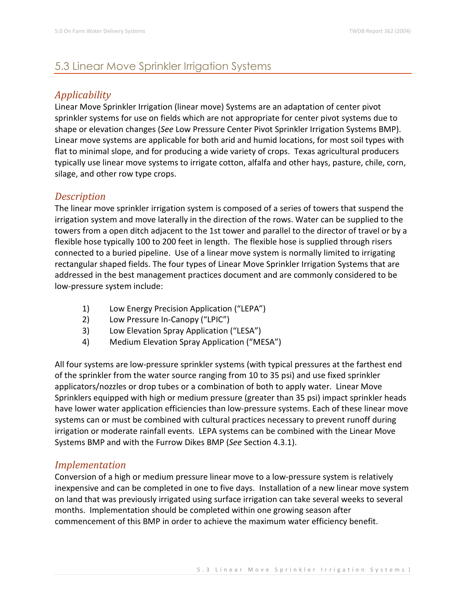# 5.3 Linear Move Sprinkler Irrigation Systems

# *Applicability*

Linear Move Sprinkler Irrigation (linear move) Systems are an adaptation of center pivot sprinkler systems for use on fields which are not appropriate for center pivot systems due to shape or elevation changes (*See* Low Pressure Center Pivot Sprinkler Irrigation Systems BMP). Linear move systems are applicable for both arid and humid locations, for most soil types with flat to minimal slope, and for producing a wide variety of crops. Texas agricultural producers typically use linear move systems to irrigate cotton, alfalfa and other hays, pasture, chile, corn, silage, and other row type crops.

### *Description*

The linear move sprinkler irrigation system is composed of a series of towers that suspend the irrigation system and move laterally in the direction of the rows. Water can be supplied to the towers from a open ditch adjacent to the 1st tower and parallel to the director of travel or by a flexible hose typically 100 to 200 feet in length. The flexible hose is supplied through risers connected to a buried pipeline. Use of a linear move system is normally limited to irrigating rectangular shaped fields. The four types of Linear Move Sprinkler Irrigation Systems that are addressed in the best management practices document and are commonly considered to be low-pressure system include:

- 1) Low Energy Precision Application ("LEPA")
- 2) Low Pressure In-Canopy ("LPIC")
- 3) Low Elevation Spray Application ("LESA")
- 4) Medium Elevation Spray Application ("MESA")

All four systems are low-pressure sprinkler systems (with typical pressures at the farthest end of the sprinkler from the water source ranging from 10 to 35 psi) and use fixed sprinkler applicators/nozzles or drop tubes or a combination of both to apply water. Linear Move Sprinklers equipped with high or medium pressure (greater than 35 psi) impact sprinkler heads have lower water application efficiencies than low-pressure systems. Each of these linear move systems can or must be combined with cultural practices necessary to prevent runoff during irrigation or moderate rainfall events. LEPA systems can be combined with the Linear Move Systems BMP and with the Furrow Dikes BMP (*See* Section 4.3.1).

#### *Implementation*

Conversion of a high or medium pressure linear move to a low-pressure system is relatively inexpensive and can be completed in one to five days. Installation of a new linear move system on land that was previously irrigated using surface irrigation can take several weeks to several months. Implementation should be completed within one growing season after commencement of this BMP in order to achieve the maximum water efficiency benefit.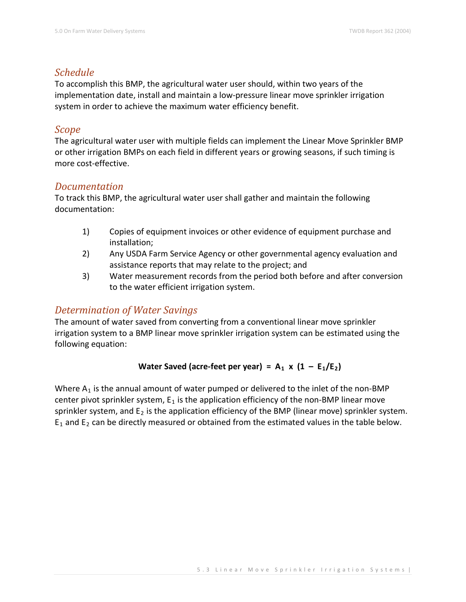#### *Schedule*

To accomplish this BMP, the agricultural water user should, within two years of the implementation date, install and maintain a low-pressure linear move sprinkler irrigation system in order to achieve the maximum water efficiency benefit.

#### *Scope*

The agricultural water user with multiple fields can implement the Linear Move Sprinkler BMP or other irrigation BMPs on each field in different years or growing seasons, if such timing is more cost-effective.

#### *Documentation*

To track this BMP, the agricultural water user shall gather and maintain the following documentation:

- 1) Copies of equipment invoices or other evidence of equipment purchase and installation;
- 2) Any USDA Farm Service Agency or other governmental agency evaluation and assistance reports that may relate to the project; and
- 3) Water measurement records from the period both before and after conversion to the water efficient irrigation system.

## *Determination of Water Savings*

The amount of water saved from converting from a conventional linear move sprinkler irrigation system to a BMP linear move sprinkler irrigation system can be estimated using the following equation:

#### Water Saved (acre-feet per year) =  $A_1 \times (1 - E_1/E_2)$

Where  $A_1$  is the annual amount of water pumped or delivered to the inlet of the non-BMP center pivot sprinkler system,  $E_1$  is the application efficiency of the non-BMP linear move sprinkler system, and  $E_2$  is the application efficiency of the BMP (linear move) sprinkler system.  $E_1$  and  $E_2$  can be directly measured or obtained from the estimated values in the table below.